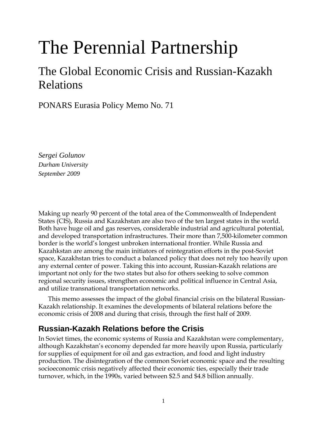# The Perennial Partnership

## The Global Economic Crisis and Russian-Kazakh Relations

PONARS Eurasia Policy Memo No. 71

*Sergei Golunov Durham University September 2009* 

Making up nearly 90 percent of the total area of the Commonwealth of Independent States (CIS), Russia and Kazakhstan are also two of the ten largest states in the world. Both have huge oil and gas reserves, considerable industrial and agricultural potential, and developed transportation infrastructures. Their more than 7,500-kilometer common border is the world's longest unbroken international frontier. While Russia and Kazahkstan are among the main initiators of reintegration efforts in the post-Soviet space, Kazakhstan tries to conduct a balanced policy that does not rely too heavily upon any external center of power. Taking this into account, Russian-Kazakh relations are important not only for the two states but also for others seeking to solve common regional security issues, strengthen economic and political influence in Central Asia, and utilize transnational transportation networks.

 This memo assesses the impact of the global financial crisis on the bilateral Russian-Kazakh relationship. It examines the developments of bilateral relations before the economic crisis of 2008 and during that crisis, through the first half of 2009.

## **Russian-Kazakh Relations before the Crisis**

In Soviet times, the economic systems of Russia and Kazakhstan were complementary, although Kazakhstan's economy depended far more heavily upon Russia, particularly for supplies of equipment for oil and gas extraction, and food and light industry production. The disintegration of the common Soviet economic space and the resulting socioeconomic crisis negatively affected their economic ties, especially their trade turnover, which, in the 1990s, varied between \$2.5 and \$4.8 billion annually.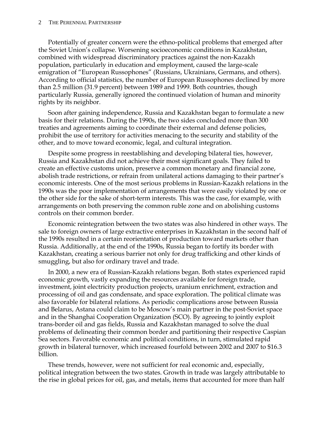#### 2 THE PERENNIAL PARTNERSHIP

Potentially of greater concern were the ethno-political problems that emerged after the Soviet Union's collapse. Worsening socioeconomic conditions in Kazakhstan, combined with widespread discriminatory practices against the non-Kazakh population, particularly in education and employment, caused the large-scale emigration of "European Russophones" (Russians, Ukrainians, Germans, and others). According to official statistics, the number of European Russophones declined by more than 2.5 million (31.9 percent) between 1989 and 1999. Both countries, though particularly Russia, generally ignored the continued violation of human and minority rights by its neighbor.

Soon after gaining independence, Russia and Kazakhstan began to formulate a new basis for their relations. During the 1990s, the two sides concluded more than 300 treaties and agreements aiming to coordinate their external and defense policies, prohibit the use of territory for activities menacing to the security and stability of the other, and to move toward economic, legal, and cultural integration.

Despite some progress in reestablishing and developing bilateral ties, however, Russia and Kazakhstan did not achieve their most significant goals. They failed to create an effective customs union, preserve a common monetary and financial zone, abolish trade restrictions, or refrain from unilateral actions damaging to their partner's economic interests. One of the most serious problems in Russian-Kazakh relations in the 1990s was the poor implementation of arrangements that were easily violated by one or the other side for the sake of short-term interests. This was the case, for example, with arrangements on both preserving the common ruble zone and on abolishing customs controls on their common border.

Economic reintegration between the two states was also hindered in other ways. The sale to foreign owners of large extractive enterprises in Kazakhstan in the second half of the 1990s resulted in a certain reorientation of production toward markets other than Russia. Additionally, at the end of the 1990s, Russia began to fortify its border with Kazakhstan, creating a serious barrier not only for drug trafficking and other kinds of smuggling, but also for ordinary travel and trade.

In 2000, a new era of Russian-Kazakh relations began. Both states experienced rapid economic growth, vastly expanding the resources available for foreign trade, investment, joint electricity production projects, uranium enrichment, extraction and processing of oil and gas condensate, and space exploration. The political climate was also favorable for bilateral relations. As periodic complications arose between Russia and Belarus, Astana could claim to be Moscow's main partner in the post-Soviet space and in the Shanghai Cooperation Organization (SCO). By agreeing to jointly exploit trans-border oil and gas fields, Russia and Kazakhstan managed to solve the dual problems of delineating their common border and partitioning their respective Caspian Sea sectors. Favorable economic and political conditions, in turn, stimulated rapid growth in bilateral turnover, which increased fourfold between 2002 and 2007 to \$16.3 billion.

These trends, however, were not sufficient for real economic and, especially, political integration between the two states. Growth in trade was largely attributable to the rise in global prices for oil, gas, and metals, items that accounted for more than half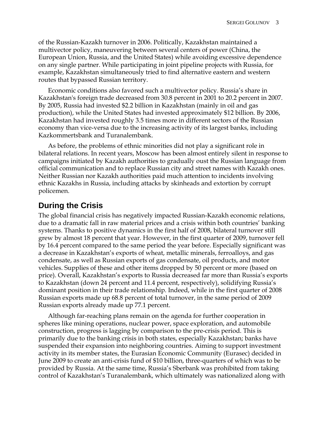of the Russian-Kazakh turnover in 2006. Politically, Kazakhstan maintained a multivector policy, maneuvering between several centers of power (China, the European Union, Russia, and the United States) while avoiding excessive dependence on any single partner. While participating in joint pipeline projects with Russia, for example, Kazakhstan simultaneously tried to find alternative eastern and western routes that bypassed Russian territory.

Economic conditions also favored such a multivector policy. Russia's share in Kazakhstan's foreign trade decreased from 30.8 percent in 2001 to 20.2 percent in 2007. By 2005, Russia had invested \$2.2 billion in Kazakhstan (mainly in oil and gas production), while the United States had invested approximately \$12 billion. By 2006, Kazakhstan had invested roughly 3.5 times more in different sectors of the Russian economy than vice-versa due to the increasing activity of its largest banks, including Kazkommertsbank and Turanalembank.

As before, the problems of ethnic minorities did not play a significant role in bilateral relations. In recent years, Moscow has been almost entirely silent in response to campaigns initiated by Kazakh authorities to gradually oust the Russian language from official communication and to replace Russian city and street names with Kazakh ones. Neither Russian nor Kazakh authorities paid much attention to incidents involving ethnic Kazakhs in Russia, including attacks by skinheads and extortion by corrupt policemen.

## **During the Crisis**

The global financial crisis has negatively impacted Russian-Kazakh economic relations, due to a dramatic fall in raw material prices and a crisis within both countries' banking systems. Thanks to positive dynamics in the first half of 2008, bilateral turnover still grew by almost 18 percent that year. However, in the first quarter of 2009, turnover fell by 16.4 percent compared to the same period the year before. Especially significant was a decrease in Kazakhstan's exports of wheat, metallic minerals, ferroalloys, and gas condensate, as well as Russian exports of gas condensate, oil products, and motor vehicles. Supplies of these and other items dropped by 50 percent or more (based on price). Overall, Kazakhstan's exports to Russia decreased far more than Russia's exports to Kazakhstan (down 24 percent and 11.4 percent, respectively), solidifying Russia's dominant position in their trade relationship. Indeed, while in the first quarter of 2008 Russian exports made up 68.8 percent of total turnover, in the same period of 2009 Russian exports already made up 77.1 percent.

Although far-reaching plans remain on the agenda for further cooperation in spheres like mining operations, nuclear power, space exploration, and automobile construction, progress is lagging by comparison to the pre-crisis period. This is primarily due to the banking crisis in both states, especially Kazakhstan; banks have suspended their expansion into neighboring countries. Aiming to support investment activity in its member states, the Eurasian Economic Community (Eurasec) decided in June 2009 to create an anti-crisis fund of \$10 billion, three-quarters of which was to be provided by Russia. At the same time, Russia's Sberbank was prohibited from taking control of Kazakhstan's Turanalembank, which ultimately was nationalized along with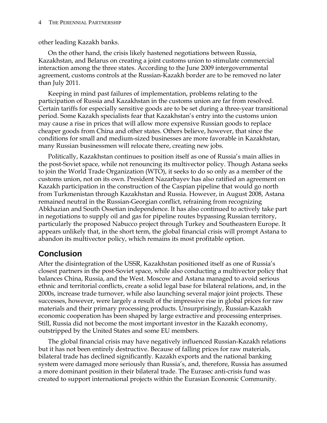#### 4 THE PERENNIAL PARTNERSHIP

other leading Kazakh banks.

On the other hand, the crisis likely hastened negotiations between Russia, Kazakhstan, and Belarus on creating a joint customs union to stimulate commercial interaction among the three states. According to the June 2009 intergovernmental agreement, customs controls at the Russian-Kazakh border are to be removed no later than July 2011.

Keeping in mind past failures of implementation, problems relating to the participation of Russia and Kazakhstan in the customs union are far from resolved. Certain tariffs for especially sensitive goods are to be set during a three-year transitional period. Some Kazakh specialists fear that Kazakhstan's entry into the customs union may cause a rise in prices that will allow more expensive Russian goods to replace cheaper goods from China and other states. Others believe, however, that since the conditions for small and medium-sized businesses are more favorable in Kazakhstan, many Russian businessmen will relocate there, creating new jobs.

Politically, Kazakhstan continues to position itself as one of Russia's main allies in the post-Soviet space, while not renouncing its multivector policy. Though Astana seeks to join the World Trade Organization (WTO), it seeks to do so only as a member of the customs union, not on its own. President Nazarbayev has also ratified an agreement on Kazakh participation in the construction of the Caspian pipeline that would go north from Turkmenistan through Kazakhstan and Russia. However, in August 2008, Astana remained neutral in the Russian-Georgian conflict, refraining from recognizing Abkhazian and South Ossetian independence. It has also continued to actively take part in negotiations to supply oil and gas for pipeline routes bypassing Russian territory, particularly the proposed Nabucco project through Turkey and Southeastern Europe. It appears unlikely that, in the short term, the global financial crisis will prompt Astana to abandon its multivector policy, which remains its most profitable option.

## **Conclusion**

After the disintegration of the USSR, Kazakhstan positioned itself as one of Russia's closest partners in the post-Soviet space, while also conducting a multivector policy that balances China, Russia, and the West. Moscow and Astana managed to avoid serious ethnic and territorial conflicts, create a solid legal base for bilateral relations, and, in the 2000s, increase trade turnover, while also launching several major joint projects. These successes, however, were largely a result of the impressive rise in global prices for raw materials and their primary processing products. Unsurprisingly, Russian-Kazakh economic cooperation has been shaped by large extractive and processing enterprises. Still, Russia did not become the most important investor in the Kazakh economy, outstripped by the United States and some EU members.

The global financial crisis may have negatively influenced Russian-Kazakh relations but it has not been entirely destructive. Because of falling prices for raw materials, bilateral trade has declined significantly. Kazakh exports and the national banking system were damaged more seriously than Russia's, and, therefore, Russia has assumed a more dominant position in their bilateral trade. The Eurasec anti-crisis fund was created to support international projects within the Eurasian Economic Community.